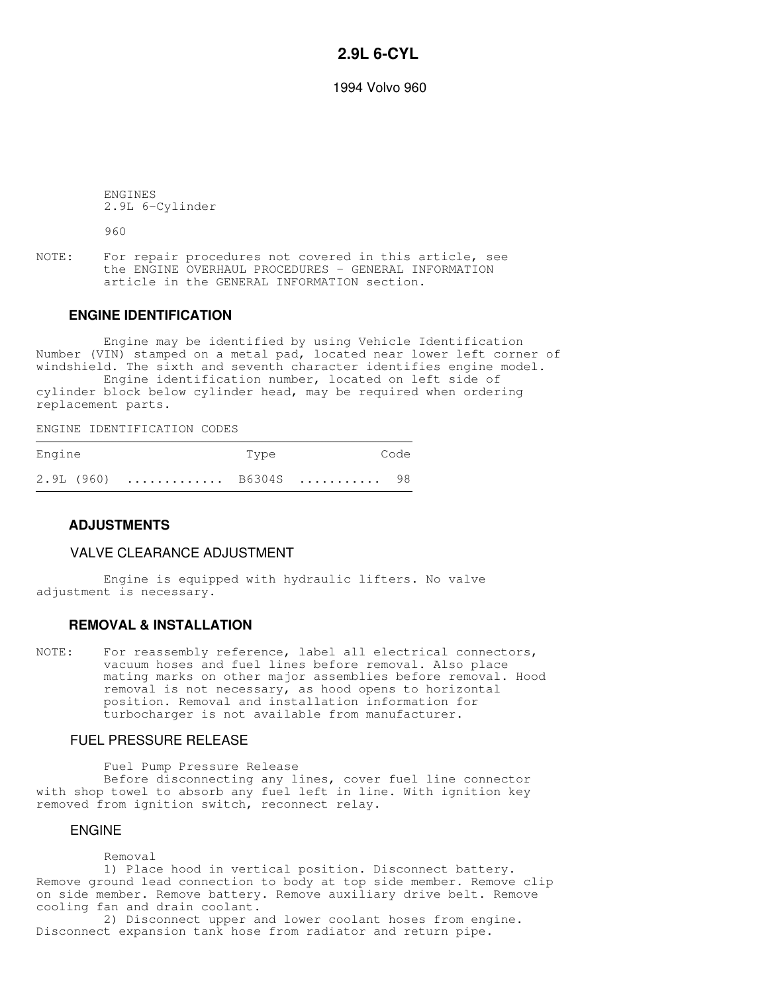# **2.9L 6-CYL**

1994 Volvo 960

 ENGINES 2.9L 6-Cylinder

960

NOTE: For repair procedures not covered in this article, see the ENGINE OVERHAUL PROCEDURES - GENERAL INFORMATION article in the GENERAL INFORMATION section.

## **ENGINE IDENTIFICATION**

 Engine may be identified by using Vehicle Identification Number (VIN) stamped on a metal pad, located near lower left corner of windshield. The sixth and seventh character identifies engine model.

 Engine identification number, located on left side of cylinder block below cylinder head, may be required when ordering replacement parts.

ENGINE IDENTIFICATION CODES

| Engine |                        | Type | Code |
|--------|------------------------|------|------|
|        | 2.9L (960)  B6304S  98 |      |      |

## **ADJUSTMENTS**

#### VALVE CLEARANCE ADJUSTMENT

 Engine is equipped with hydraulic lifters. No valve adjustment is necessary.

#### **REMOVAL & INSTALLATION**

NOTE: For reassembly reference, label all electrical connectors, vacuum hoses and fuel lines before removal. Also place mating marks on other major assemblies before removal. Hood removal is not necessary, as hood opens to horizontal position. Removal and installation information for turbocharger is not available from manufacturer.

#### FUEL PRESSURE RELEASE

Fuel Pump Pressure Release

 Before disconnecting any lines, cover fuel line connector with shop towel to absorb any fuel left in line. With ignition key removed from ignition switch, reconnect relay.

## ENGINE

Removal

 1) Place hood in vertical position. Disconnect battery. Remove ground lead connection to body at top side member. Remove clip on side member. Remove battery. Remove auxiliary drive belt. Remove cooling fan and drain coolant.

 2) Disconnect upper and lower coolant hoses from engine. Disconnect expansion tank hose from radiator and return pipe.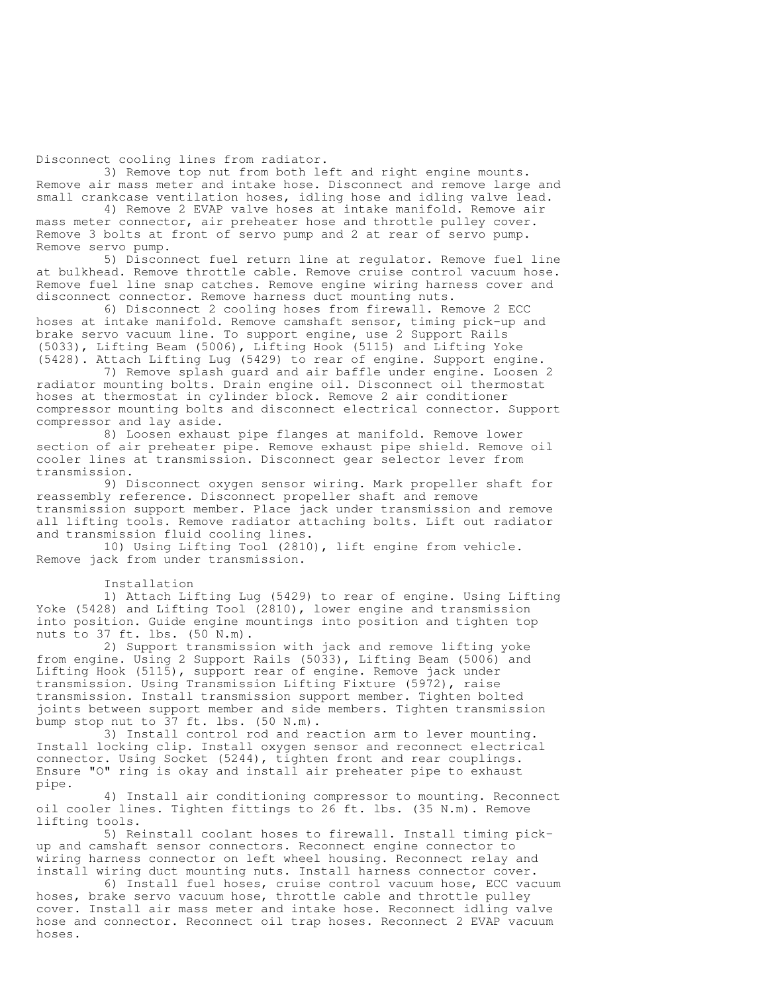Disconnect cooling lines from radiator.

 3) Remove top nut from both left and right engine mounts. Remove air mass meter and intake hose. Disconnect and remove large and small crankcase ventilation hoses, idling hose and idling valve lead.

 4) Remove 2 EVAP valve hoses at intake manifold. Remove air mass meter connector, air preheater hose and throttle pulley cover. Remove 3 bolts at front of servo pump and 2 at rear of servo pump. Remove servo pump.

 5) Disconnect fuel return line at regulator. Remove fuel line at bulkhead. Remove throttle cable. Remove cruise control vacuum hose. Remove fuel line snap catches. Remove engine wiring harness cover and disconnect connector. Remove harness duct mounting nuts.

 6) Disconnect 2 cooling hoses from firewall. Remove 2 ECC hoses at intake manifold. Remove camshaft sensor, timing pick-up and brake servo vacuum line. To support engine, use 2 Support Rails (5033), Lifting Beam (5006), Lifting Hook (5115) and Lifting Yoke (5428). Attach Lifting Lug (5429) to rear of engine. Support engine.

 7) Remove splash guard and air baffle under engine. Loosen 2 radiator mounting bolts. Drain engine oil. Disconnect oil thermostat hoses at thermostat in cylinder block. Remove 2 air conditioner compressor mounting bolts and disconnect electrical connector. Support compressor and lay aside.

 8) Loosen exhaust pipe flanges at manifold. Remove lower section of air preheater pipe. Remove exhaust pipe shield. Remove oil cooler lines at transmission. Disconnect gear selector lever from transmission.

 9) Disconnect oxygen sensor wiring. Mark propeller shaft for reassembly reference. Disconnect propeller shaft and remove transmission support member. Place jack under transmission and remove all lifting tools. Remove radiator attaching bolts. Lift out radiator and transmission fluid cooling lines.

 10) Using Lifting Tool (2810), lift engine from vehicle. Remove jack from under transmission.

Installation

 1) Attach Lifting Lug (5429) to rear of engine. Using Lifting Yoke (5428) and Lifting Tool (2810), lower engine and transmission into position. Guide engine mountings into position and tighten top nuts to 37 ft. lbs. (50 N.m).

 2) Support transmission with jack and remove lifting yoke from engine. Using 2 Support Rails (5033), Lifting Beam (5006) and Lifting Hook (5115), support rear of engine. Remove jack under transmission. Using Transmission Lifting Fixture (5972), raise transmission. Install transmission support member. Tighten bolted joints between support member and side members. Tighten transmission bump stop nut to 37 ft. lbs. (50 N.m).

 3) Install control rod and reaction arm to lever mounting. Install locking clip. Install oxygen sensor and reconnect electrical connector. Using Socket (5244), tighten front and rear couplings. Ensure "O" ring is okay and install air preheater pipe to exhaust pipe.

 4) Install air conditioning compressor to mounting. Reconnect oil cooler lines. Tighten fittings to 26 ft. lbs. (35 N.m). Remove lifting tools.

 5) Reinstall coolant hoses to firewall. Install timing pickup and camshaft sensor connectors. Reconnect engine connector to wiring harness connector on left wheel housing. Reconnect relay and install wiring duct mounting nuts. Install harness connector cover.

 6) Install fuel hoses, cruise control vacuum hose, ECC vacuum hoses, brake servo vacuum hose, throttle cable and throttle pulley cover. Install air mass meter and intake hose. Reconnect idling valve hose and connector. Reconnect oil trap hoses. Reconnect 2 EVAP vacuum hoses.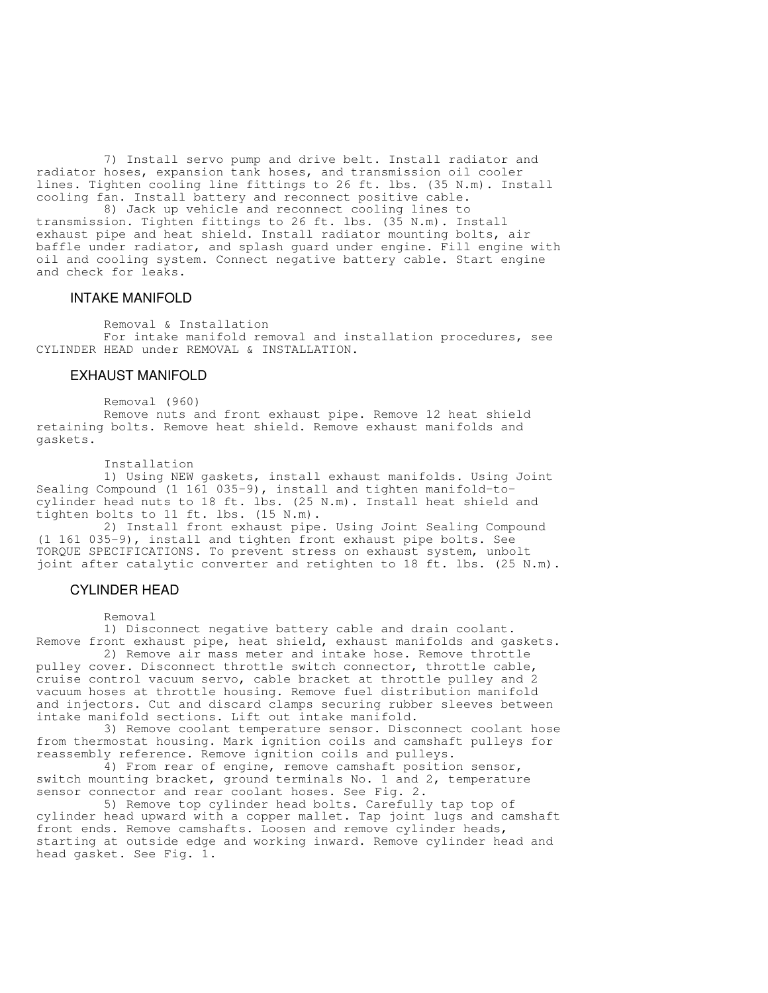7) Install servo pump and drive belt. Install radiator and radiator hoses, expansion tank hoses, and transmission oil cooler lines. Tighten cooling line fittings to 26 ft. lbs. (35 N.m). Install cooling fan. Install battery and reconnect positive cable.

 8) Jack up vehicle and reconnect cooling lines to transmission. Tighten fittings to 26 ft. lbs. (35 N.m). Install exhaust pipe and heat shield. Install radiator mounting bolts, air baffle under radiator, and splash guard under engine. Fill engine with oil and cooling system. Connect negative battery cable. Start engine and check for leaks.

#### INTAKE MANIFOLD

Removal & Installation

 For intake manifold removal and installation procedures, see CYLINDER HEAD under REMOVAL & INSTALLATION.

## EXHAUST MANIFOLD

Removal (960)

 Remove nuts and front exhaust pipe. Remove 12 heat shield retaining bolts. Remove heat shield. Remove exhaust manifolds and gaskets.

Installation

 1) Using NEW gaskets, install exhaust manifolds. Using Joint Sealing Compound (1 161 035-9), install and tighten manifold-tocylinder head nuts to 18 ft. lbs. (25 N.m). Install heat shield and tighten bolts to 11 ft. lbs. (15 N.m).

 2) Install front exhaust pipe. Using Joint Sealing Compound (1 161 035-9), install and tighten front exhaust pipe bolts. See TORQUE SPECIFICATIONS. To prevent stress on exhaust system, unbolt joint after catalytic converter and retighten to 18 ft. lbs. (25 N.m).

## CYLINDER HEAD

Removal

 1) Disconnect negative battery cable and drain coolant. Remove front exhaust pipe, heat shield, exhaust manifolds and gaskets.

 2) Remove air mass meter and intake hose. Remove throttle pulley cover. Disconnect throttle switch connector, throttle cable, cruise control vacuum servo, cable bracket at throttle pulley and 2 vacuum hoses at throttle housing. Remove fuel distribution manifold and injectors. Cut and discard clamps securing rubber sleeves between intake manifold sections. Lift out intake manifold.

 3) Remove coolant temperature sensor. Disconnect coolant hose from thermostat housing. Mark ignition coils and camshaft pulleys for reassembly reference. Remove ignition coils and pulleys.

4) From rear of engine, remove camshaft position sensor, switch mounting bracket, ground terminals No. 1 and 2, temperature sensor connector and rear coolant hoses. See Fig. 2.

 5) Remove top cylinder head bolts. Carefully tap top of cylinder head upward with a copper mallet. Tap joint lugs and camshaft front ends. Remove camshafts. Loosen and remove cylinder heads, starting at outside edge and working inward. Remove cylinder head and head gasket. See Fig. 1.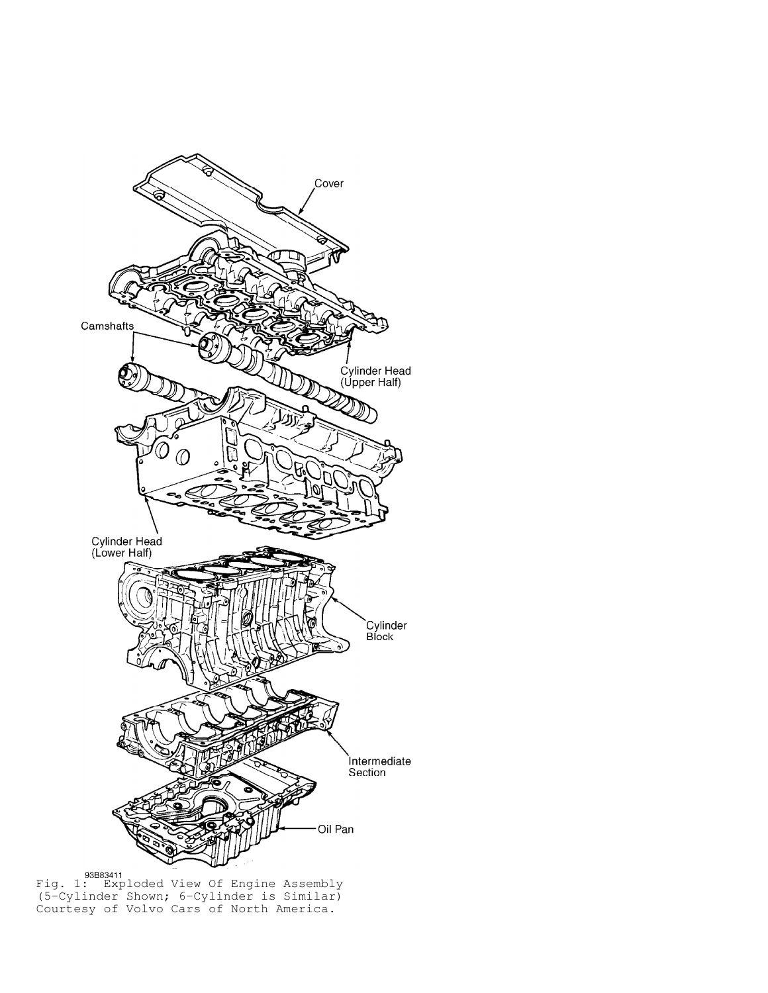

Fig. 1: Exploded View Of Engine Assembly (5-Cylinder Shown; 6-Cylinder is Similar) Courtesy of Volvo Cars of North America.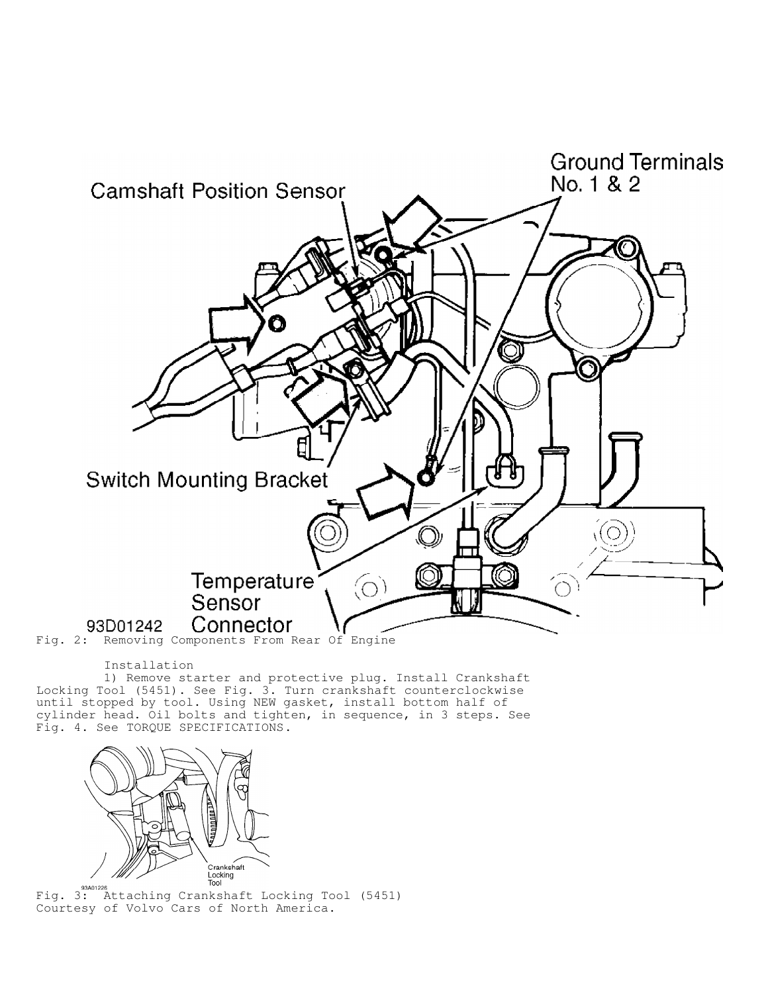

#### Installation

 1) Remove starter and protective plug. Install Crankshaft Locking Tool (5451). See Fig. 3. Turn crankshaft counterclockwise until stopped by tool. Using NEW gasket, install bottom half of cylinder head. Oil bolts and tighten, in sequence, in 3 steps. See Fig. 4. See TORQUE SPECIFICATIONS.



Fig. 3: Attaching Crankshaft Locking Tool (5451) Courtesy of Volvo Cars of North America.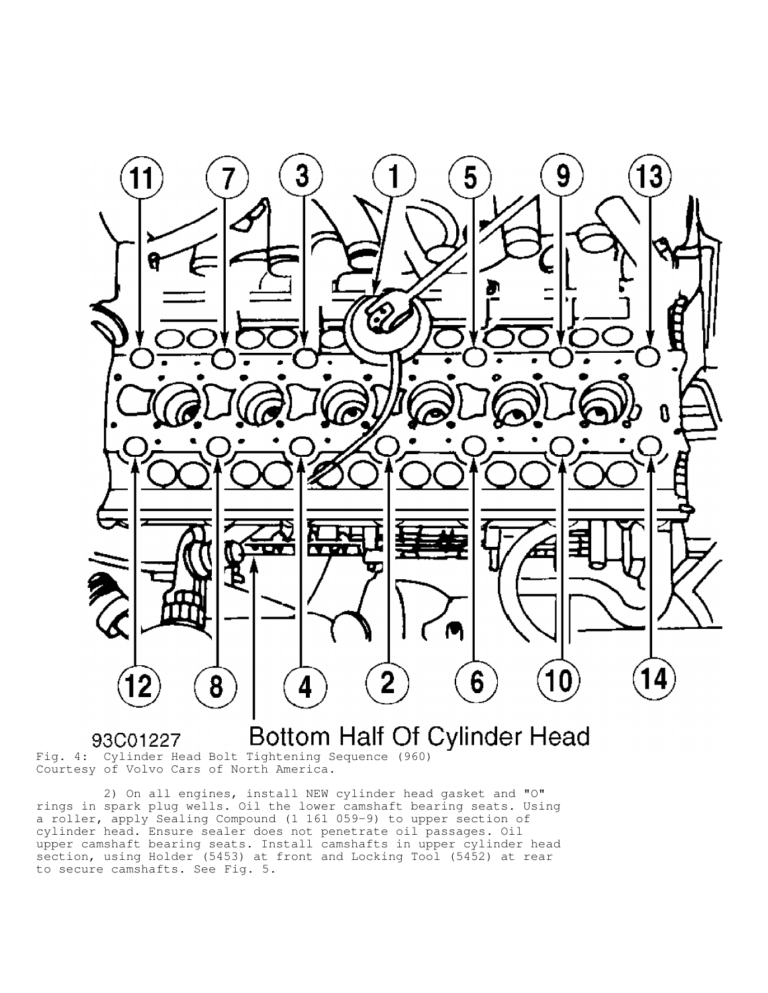

Bottom Half Of Cylinder Head 93C01227

Fig. 4: Cylinder Head Bolt Tightening Sequence (960) Courtesy of Volvo Cars of North America.

 2) On all engines, install NEW cylinder head gasket and "O" rings in spark plug wells. Oil the lower camshaft bearing seats. Using a roller, apply Sealing Compound (1 161 059-9) to upper section of cylinder head. Ensure sealer does not penetrate oil passages. Oil upper camshaft bearing seats. Install camshafts in upper cylinder head section, using Holder (5453) at front and Locking Tool (5452) at rear to secure camshafts. See Fig. 5.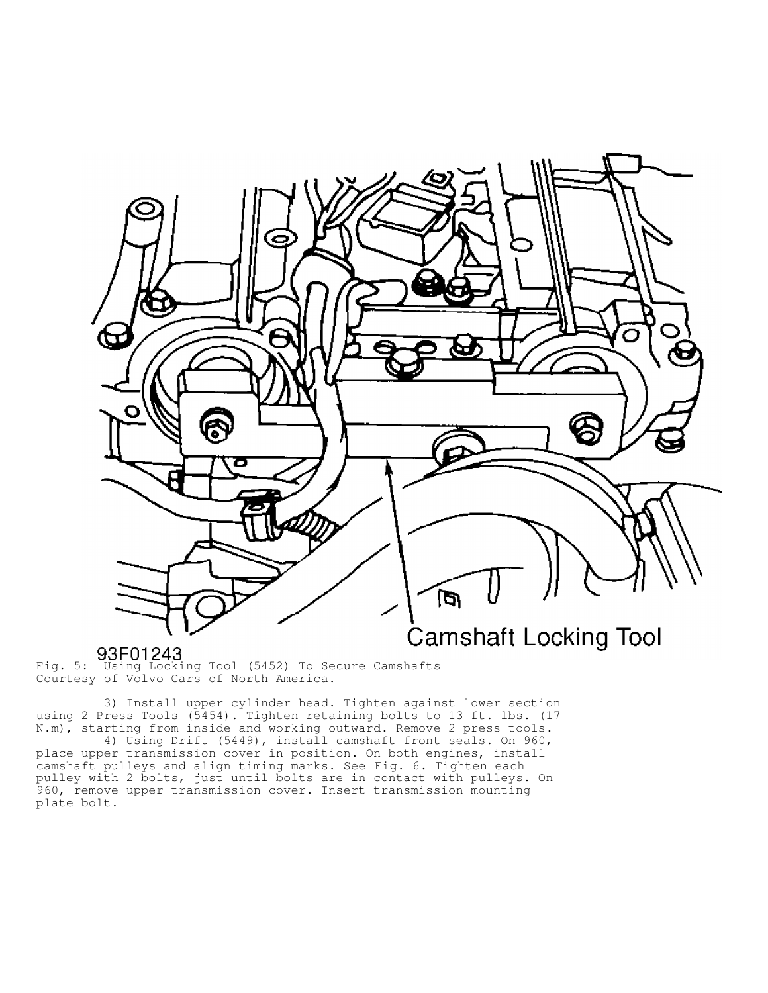

Fig. 5: Using Locking Tool (5452) To Secure Camshafts Courtesy of Volvo Cars of North America.

 3) Install upper cylinder head. Tighten against lower section using 2 Press Tools (5454). Tighten retaining bolts to 13 ft. lbs. (17 N.m), starting from inside and working outward. Remove 2 press tools.

 4) Using Drift (5449), install camshaft front seals. On 960, place upper transmission cover in position. On both engines, install camshaft pulleys and align timing marks. See Fig. 6. Tighten each pulley with 2 bolts, just until bolts are in contact with pulleys. On 960, remove upper transmission cover. Insert transmission mounting plate bolt.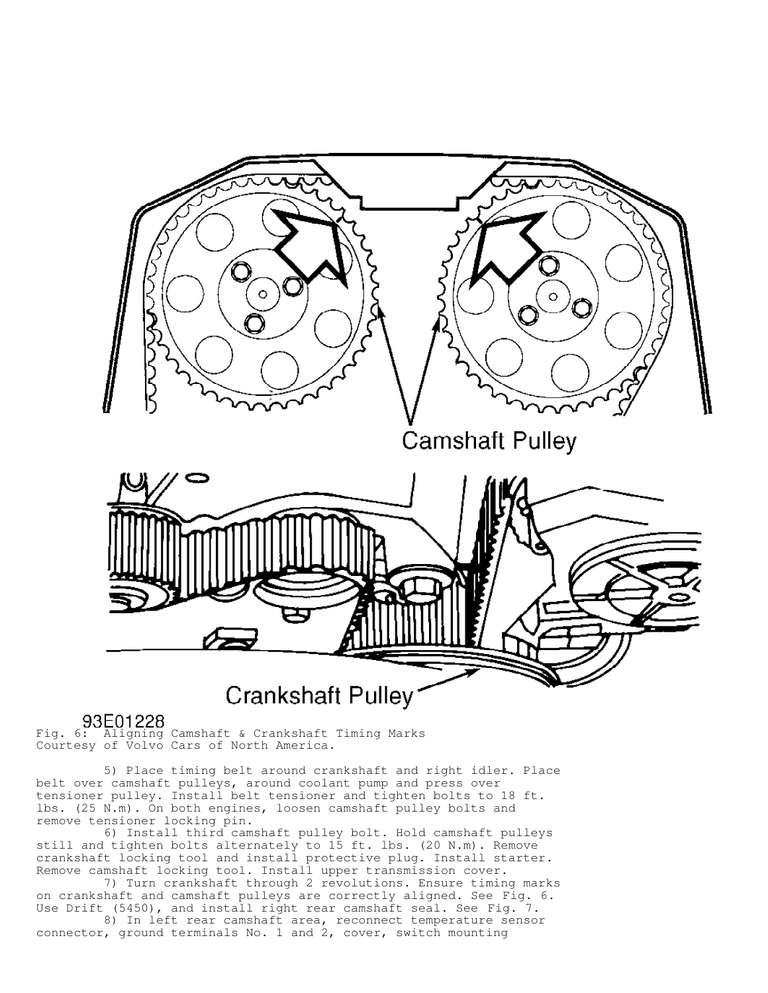

Fig. 6: Aligning Camshaft & Crankshaft Timing Marks Courtesy of Volvo Cars of North America.

 5) Place timing belt around crankshaft and right idler. Place belt over camshaft pulleys, around coolant pump and press over tensioner pulley. Install belt tensioner and tighten bolts to 18 ft. lbs. (25 N.m). On both engines, loosen camshaft pulley bolts and remove tensioner locking pin.

 6) Install third camshaft pulley bolt. Hold camshaft pulleys still and tighten bolts alternately to 15 ft. lbs. (20 N.m). Remove crankshaft locking tool and install protective plug. Install starter. Remove camshaft locking tool. Install upper transmission cover.

 7) Turn crankshaft through 2 revolutions. Ensure timing marks on crankshaft and camshaft pulleys are correctly aligned. See Fig. 6. Use Drift (5450), and install right rear camshaft seal. See Fig. 7.

 8) In left rear camshaft area, reconnect temperature sensor connector, ground terminals No. 1 and 2, cover, switch mounting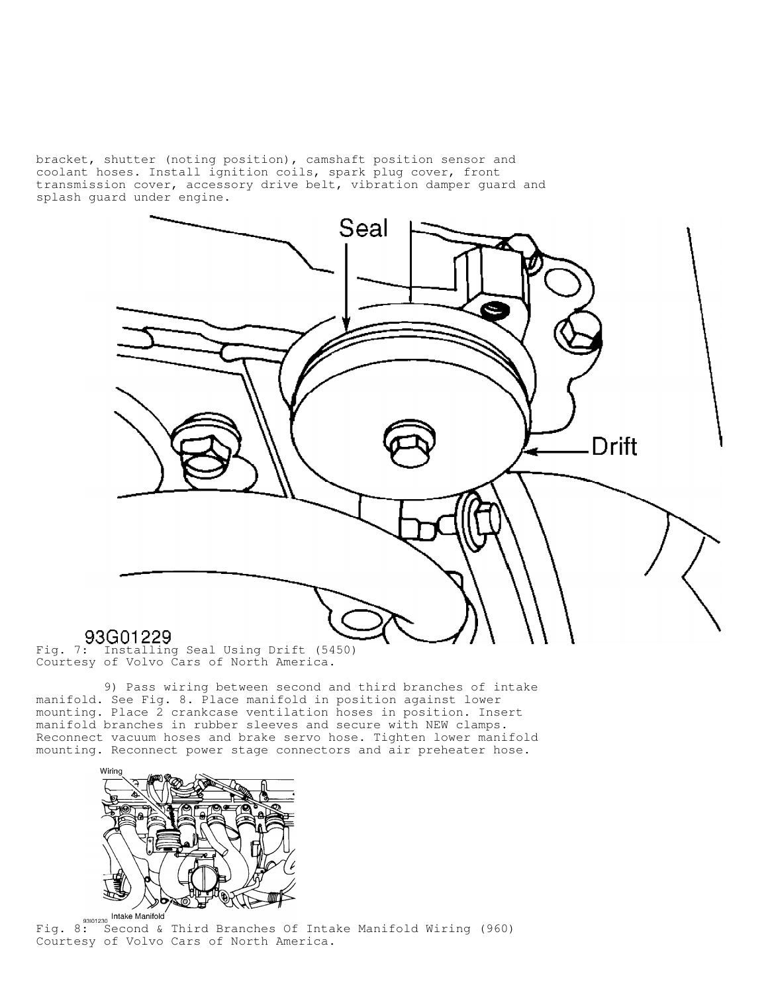bracket, shutter (noting position), camshaft position sensor and coolant hoses. Install ignition coils, spark plug cover, front transmission cover, accessory drive belt, vibration damper guard and splash guard under engine.



# 93G01229

Fig. 7: Installing Seal Using Drift (5450) Courtesy of Volvo Cars of North America.

 9) Pass wiring between second and third branches of intake manifold. See Fig. 8. Place manifold in position against lower mounting. Place 2 crankcase ventilation hoses in position. Insert manifold branches in rubber sleeves and secure with NEW clamps. Reconnect vacuum hoses and brake servo hose. Tighten lower manifold mounting. Reconnect power stage connectors and air preheater hose.

![](_page_8_Picture_5.jpeg)

asiot230 Intake Manifold<br>Fig. 8: Second & Third Branches Of Intake Manifold Wiring (960) Courtesy of Volvo Cars of North America.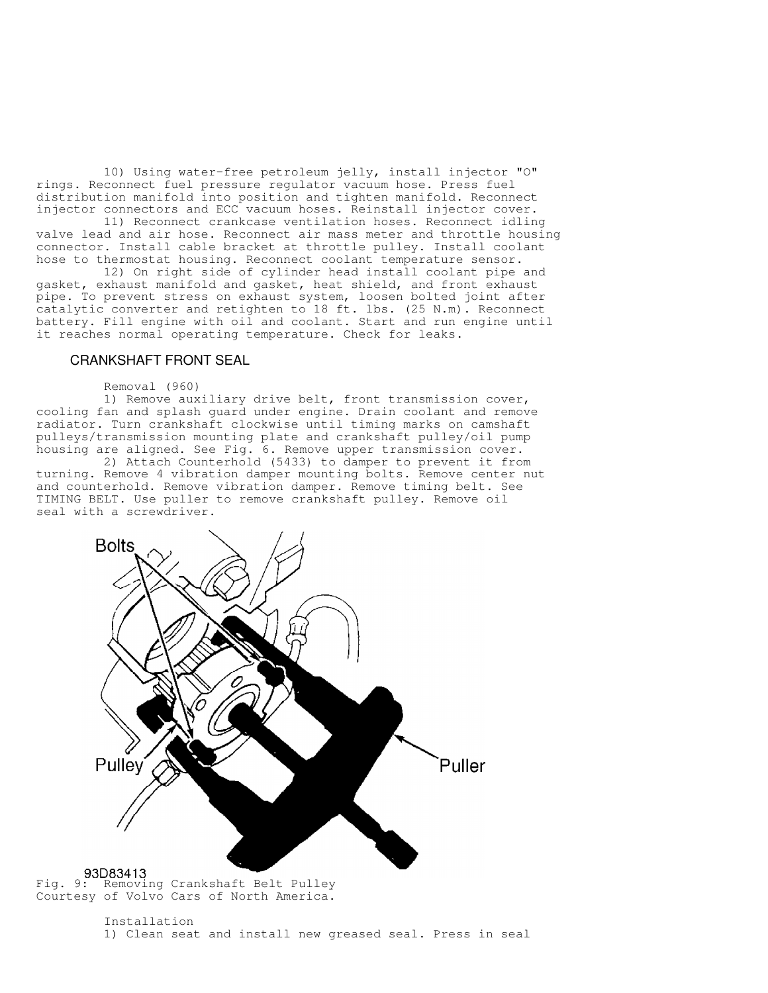10) Using water-free petroleum jelly, install injector "O" rings. Reconnect fuel pressure regulator vacuum hose. Press fuel distribution manifold into position and tighten manifold. Reconnect injector connectors and ECC vacuum hoses. Reinstall injector cover.

 11) Reconnect crankcase ventilation hoses. Reconnect idling valve lead and air hose. Reconnect air mass meter and throttle housing connector. Install cable bracket at throttle pulley. Install coolant hose to thermostat housing. Reconnect coolant temperature sensor.

 12) On right side of cylinder head install coolant pipe and gasket, exhaust manifold and gasket, heat shield, and front exhaust pipe. To prevent stress on exhaust system, loosen bolted joint after catalytic converter and retighten to 18 ft. lbs. (25 N.m). Reconnect battery. Fill engine with oil and coolant. Start and run engine until it reaches normal operating temperature. Check for leaks.

#### CRANKSHAFT FRONT SEAL

#### Removal (960)

 1) Remove auxiliary drive belt, front transmission cover, cooling fan and splash guard under engine. Drain coolant and remove radiator. Turn crankshaft clockwise until timing marks on camshaft pulleys/transmission mounting plate and crankshaft pulley/oil pump housing are aligned. See Fig. 6. Remove upper transmission cover.

 2) Attach Counterhold (5433) to damper to prevent it from turning. Remove 4 vibration damper mounting bolts. Remove center nut and counterhold. Remove vibration damper. Remove timing belt. See TIMING BELT. Use puller to remove crankshaft pulley. Remove oil seal with a screwdriver.

![](_page_9_Figure_7.jpeg)

 Installation 1) Clean seat and install new greased seal. Press in seal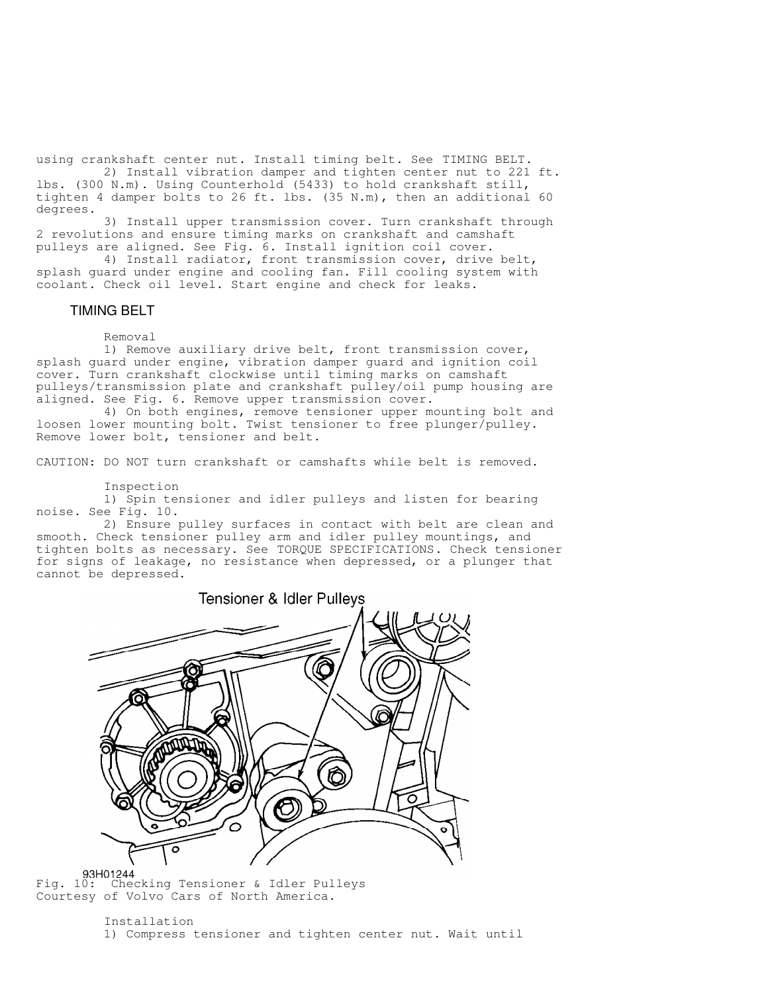using crankshaft center nut. Install timing belt. See TIMING BELT. 2) Install vibration damper and tighten center nut to 221 ft.

lbs. (300 N.m). Using Counterhold (5433) to hold crankshaft still, tighten 4 damper bolts to 26 ft. lbs. (35 N.m), then an additional 60 degrees.

 3) Install upper transmission cover. Turn crankshaft through 2 revolutions and ensure timing marks on crankshaft and camshaft pulleys are aligned. See Fig. 6. Install ignition coil cover.

 4) Install radiator, front transmission cover, drive belt, splash guard under engine and cooling fan. Fill cooling system with coolant. Check oil level. Start engine and check for leaks.

#### TIMING BELT

Removal

 1) Remove auxiliary drive belt, front transmission cover, splash guard under engine, vibration damper guard and ignition coil cover. Turn crankshaft clockwise until timing marks on camshaft pulleys/transmission plate and crankshaft pulley/oil pump housing are aligned. See Fig. 6. Remove upper transmission cover.

 4) On both engines, remove tensioner upper mounting bolt and loosen lower mounting bolt. Twist tensioner to free plunger/pulley. Remove lower bolt, tensioner and belt.

CAUTION: DO NOT turn crankshaft or camshafts while belt is removed.

Inspection

 1) Spin tensioner and idler pulleys and listen for bearing noise. See Fig. 10.

 2) Ensure pulley surfaces in contact with belt are clean and smooth. Check tensioner pulley arm and idler pulley mountings, and tighten bolts as necessary. See TORQUE SPECIFICATIONS. Check tensioner for signs of leakage, no resistance when depressed, or a plunger that cannot be depressed.

![](_page_10_Picture_12.jpeg)

93H01244<br>Fig. 10: Checking Tensioner & Idler Pulleys Courtesy of Volvo Cars of North America.

#### Installation 1) Compress tensioner and tighten center nut. Wait until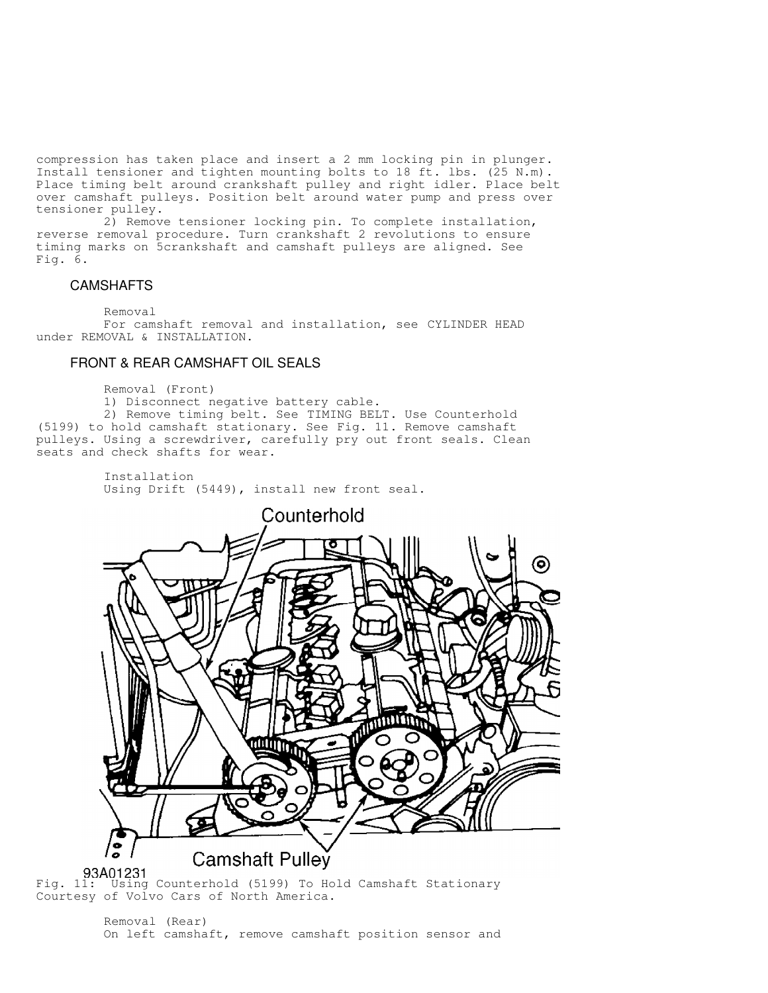compression has taken place and insert a 2 mm locking pin in plunger. Install tensioner and tighten mounting bolts to 18 ft. lbs. (25 N.m). Place timing belt around crankshaft pulley and right idler. Place belt over camshaft pulleys. Position belt around water pump and press over tensioner pulley.

 2) Remove tensioner locking pin. To complete installation, reverse removal procedure. Turn crankshaft 2 revolutions to ensure timing marks on 5crankshaft and camshaft pulleys are aligned. See Fig. 6.

## CAMSHAFTS

Removal

 For camshaft removal and installation, see CYLINDER HEAD under REMOVAL & INSTALLATION.

## FRONT & REAR CAMSHAFT OIL SEALS

Removal (Front)

1) Disconnect negative battery cable.

 2) Remove timing belt. See TIMING BELT. Use Counterhold (5199) to hold camshaft stationary. See Fig. 11. Remove camshaft pulleys. Using a screwdriver, carefully pry out front seals. Clean seats and check shafts for wear.

Installation Using Drift (5449), install new front seal.

![](_page_11_Picture_10.jpeg)

Fig. 11: Using Counterhold (5199) To Hold Camshaft Stationary Courtesy of Volvo Cars of North America.

> Removal (Rear) On left camshaft, remove camshaft position sensor and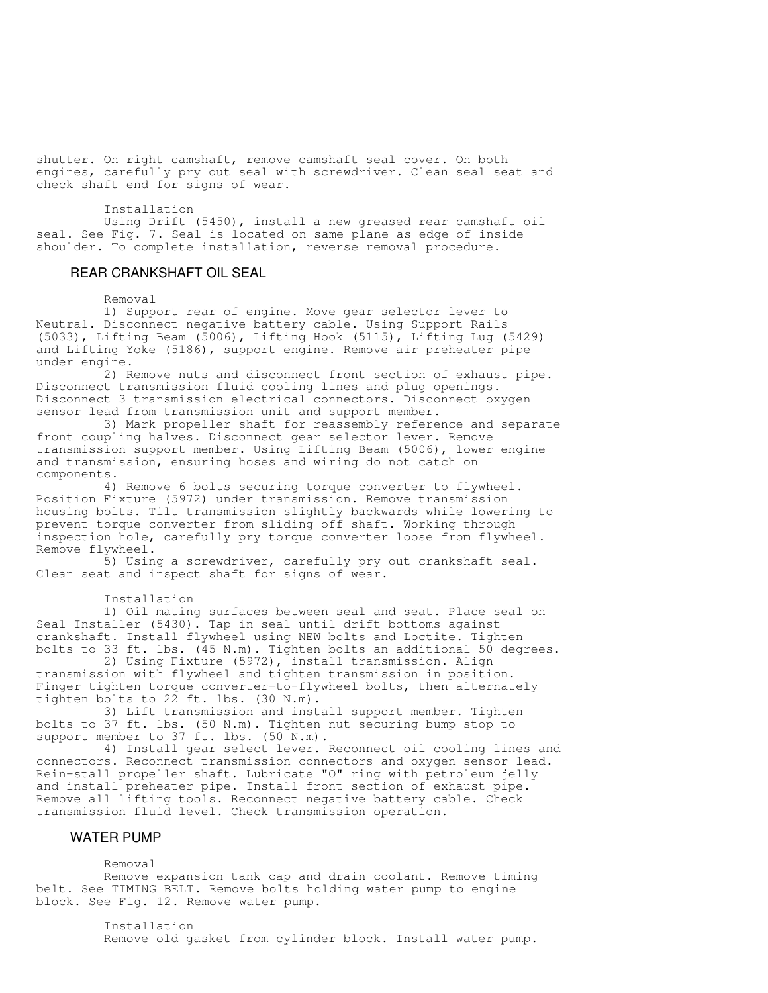shutter. On right camshaft, remove camshaft seal cover. On both engines, carefully pry out seal with screwdriver. Clean seal seat and check shaft end for signs of wear.

#### Installation

 Using Drift (5450), install a new greased rear camshaft oil seal. See Fig. 7. Seal is located on same plane as edge of inside shoulder. To complete installation, reverse removal procedure.

## REAR CRANKSHAFT OIL SEAL

#### Removal

 1) Support rear of engine. Move gear selector lever to Neutral. Disconnect negative battery cable. Using Support Rails (5033), Lifting Beam (5006), Lifting Hook (5115), Lifting Lug (5429) and Lifting Yoke (5186), support engine. Remove air preheater pipe under engine.

 2) Remove nuts and disconnect front section of exhaust pipe. Disconnect transmission fluid cooling lines and plug openings. Disconnect 3 transmission electrical connectors. Disconnect oxygen sensor lead from transmission unit and support member.

 3) Mark propeller shaft for reassembly reference and separate front coupling halves. Disconnect gear selector lever. Remove transmission support member. Using Lifting Beam (5006), lower engine and transmission, ensuring hoses and wiring do not catch on components.

 4) Remove 6 bolts securing torque converter to flywheel. Position Fixture (5972) under transmission. Remove transmission housing bolts. Tilt transmission slightly backwards while lowering to prevent torque converter from sliding off shaft. Working through inspection hole, carefully pry torque converter loose from flywheel. Remove flywheel.

 5) Using a screwdriver, carefully pry out crankshaft seal. Clean seat and inspect shaft for signs of wear.

#### Installation

 1) Oil mating surfaces between seal and seat. Place seal on Seal Installer (5430). Tap in seal until drift bottoms against crankshaft. Install flywheel using NEW bolts and Loctite. Tighten bolts to 33 ft. lbs. (45 N.m). Tighten bolts an additional 50 degrees.

 2) Using Fixture (5972), install transmission. Align transmission with flywheel and tighten transmission in position. Finger tighten torque converter-to-flywheel bolts, then alternately tighten bolts to 22 ft. lbs. (30 N.m).

 3) Lift transmission and install support member. Tighten bolts to 37 ft. lbs. (50 N.m). Tighten nut securing bump stop to support member to 37 ft. lbs. (50 N.m).

 4) Install gear select lever. Reconnect oil cooling lines and connectors. Reconnect transmission connectors and oxygen sensor lead. Rein-stall propeller shaft. Lubricate "O" ring with petroleum jelly and install preheater pipe. Install front section of exhaust pipe. Remove all lifting tools. Reconnect negative battery cable. Check transmission fluid level. Check transmission operation.

#### WATER PUMP

Removal

 Remove expansion tank cap and drain coolant. Remove timing belt. See TIMING BELT. Remove bolts holding water pump to engine block. See Fig. 12. Remove water pump.

> Installation Remove old gasket from cylinder block. Install water pump.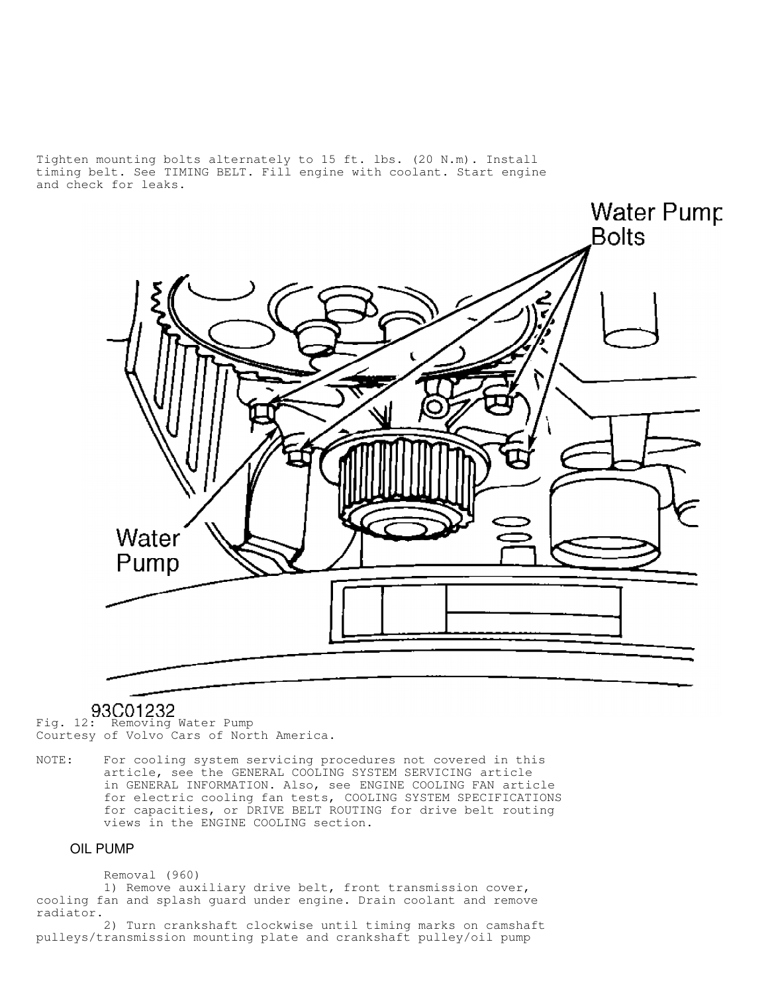Tighten mounting bolts alternately to 15 ft. lbs. (20 N.m). Install timing belt. See TIMING BELT. Fill engine with coolant. Start engine and check for leaks.

![](_page_13_Picture_1.jpeg)

# 93C01232

Fig. 12: Removing Water Pump Courtesy of Volvo Cars of North America.

NOTE: For cooling system servicing procedures not covered in this article, see the GENERAL COOLING SYSTEM SERVICING article in GENERAL INFORMATION. Also, see ENGINE COOLING FAN article for electric cooling fan tests, COOLING SYSTEM SPECIFICATIONS for capacities, or DRIVE BELT ROUTING for drive belt routing views in the ENGINE COOLING section.

## OIL PUMP

## Removal (960)

 1) Remove auxiliary drive belt, front transmission cover, cooling fan and splash guard under engine. Drain coolant and remove radiator.

 2) Turn crankshaft clockwise until timing marks on camshaft pulleys/transmission mounting plate and crankshaft pulley/oil pump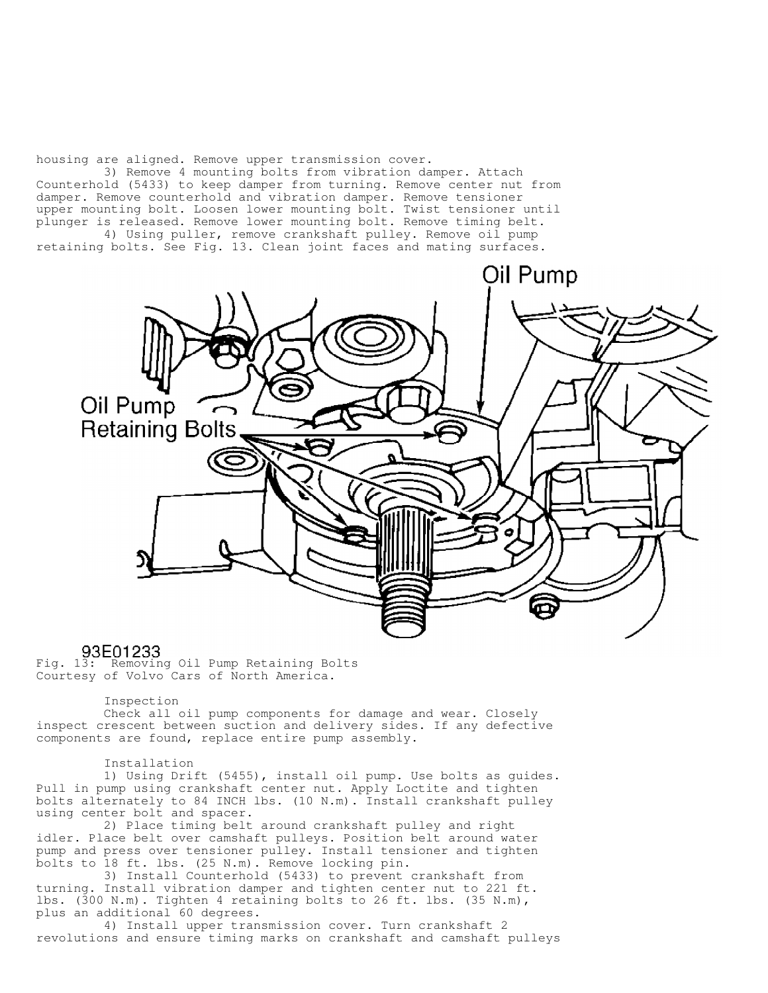housing are aligned. Remove upper transmission cover.

 3) Remove 4 mounting bolts from vibration damper. Attach Counterhold (5433) to keep damper from turning. Remove center nut from damper. Remove counterhold and vibration damper. Remove tensioner upper mounting bolt. Loosen lower mounting bolt. Twist tensioner until plunger is released. Remove lower mounting bolt. Remove timing belt. 4) Using puller, remove crankshaft pulley. Remove oil pump retaining bolts. See Fig. 13. Clean joint faces and mating surfaces.

Oil Pump Oil Pump **Retaining Bolts** 

93E01233<br>Fig. 13: Removing Oil Pump Retaining Bolts Courtesy of Volvo Cars of North America.

Inspection

 Check all oil pump components for damage and wear. Closely inspect crescent between suction and delivery sides. If any defective components are found, replace entire pump assembly.

Installation

 1) Using Drift (5455), install oil pump. Use bolts as guides. Pull in pump using crankshaft center nut. Apply Loctite and tighten bolts alternately to 84 INCH lbs. (10 N.m). Install crankshaft pulley using center bolt and spacer.

 2) Place timing belt around crankshaft pulley and right idler. Place belt over camshaft pulleys. Position belt around water pump and press over tensioner pulley. Install tensioner and tighten bolts to 18 ft. lbs. (25 N.m). Remove locking pin.

 3) Install Counterhold (5433) to prevent crankshaft from turning. Install vibration damper and tighten center nut to 221 ft. lbs. (300 N.m). Tighten 4 retaining bolts to 26 ft. lbs. (35 N.m), plus an additional 60 degrees.

 4) Install upper transmission cover. Turn crankshaft 2 revolutions and ensure timing marks on crankshaft and camshaft pulleys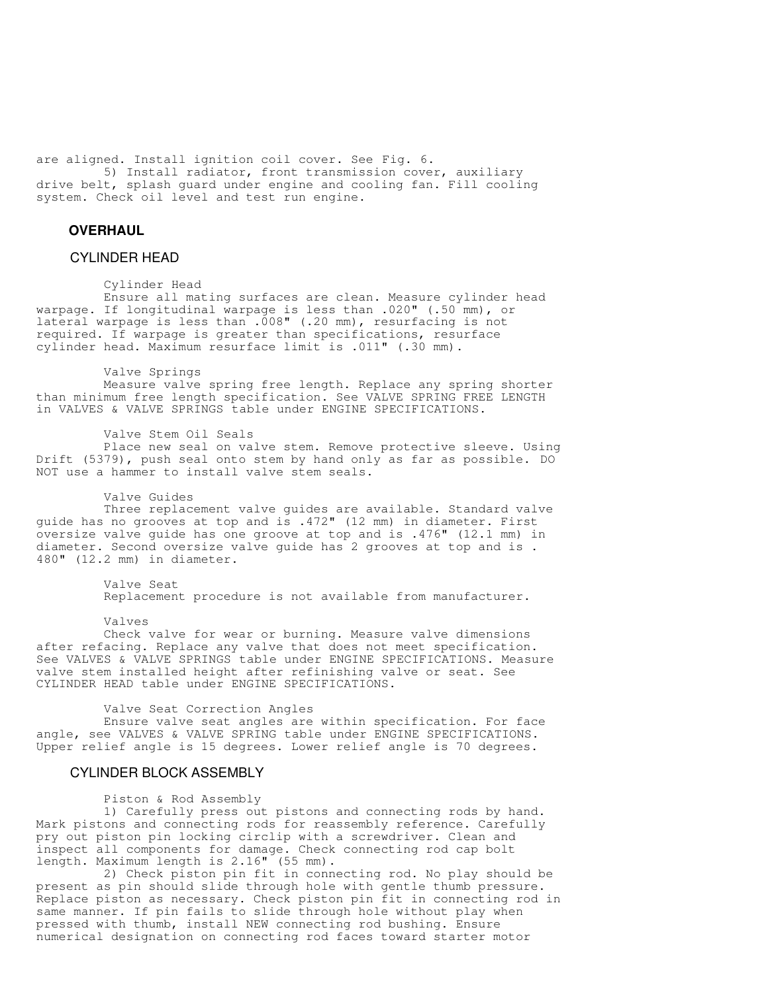are aligned. Install ignition coil cover. See Fig. 6. 5) Install radiator, front transmission cover, auxiliary drive belt, splash guard under engine and cooling fan. Fill cooling system. Check oil level and test run engine.

## **OVERHAUL**

#### CYLINDER HEAD

#### Cylinder Head

 Ensure all mating surfaces are clean. Measure cylinder head warpage. If longitudinal warpage is less than .020" (.50 mm), or lateral warpage is less than .008" (.20 mm), resurfacing is not required. If warpage is greater than specifications, resurface cylinder head. Maximum resurface limit is .011" (.30 mm).

#### Valve Springs

 Measure valve spring free length. Replace any spring shorter than minimum free length specification. See VALVE SPRING FREE LENGTH in VALVES & VALVE SPRINGS table under ENGINE SPECIFICATIONS.

#### Valve Stem Oil Seals

 Place new seal on valve stem. Remove protective sleeve. Using Drift (5379), push seal onto stem by hand only as far as possible. DO NOT use a hammer to install valve stem seals.

#### Valve Guides

 Three replacement valve guides are available. Standard valve guide has no grooves at top and is .472" (12 mm) in diameter. First oversize valve guide has one groove at top and is .476" (12.1 mm) in diameter. Second oversize valve guide has 2 grooves at top and is . 480" (12.2 mm) in diameter.

> Valve Seat Replacement procedure is not available from manufacturer.

Valves

 Check valve for wear or burning. Measure valve dimensions after refacing. Replace any valve that does not meet specification. See VALVES & VALVE SPRINGS table under ENGINE SPECIFICATIONS. Measure valve stem installed height after refinishing valve or seat. See CYLINDER HEAD table under ENGINE SPECIFICATIONS.

#### Valve Seat Correction Angles

 Ensure valve seat angles are within specification. For face angle, see VALVES & VALVE SPRING table under ENGINE SPECIFICATIONS. Upper relief angle is 15 degrees. Lower relief angle is 70 degrees.

### CYLINDER BLOCK ASSEMBLY

Piston & Rod Assembly

 1) Carefully press out pistons and connecting rods by hand. Mark pistons and connecting rods for reassembly reference. Carefully pry out piston pin locking circlip with a screwdriver. Clean and inspect all components for damage. Check connecting rod cap bolt length. Maximum length is 2.16" (55 mm).

 2) Check piston pin fit in connecting rod. No play should be present as pin should slide through hole with gentle thumb pressure. Replace piston as necessary. Check piston pin fit in connecting rod in same manner. If pin fails to slide through hole without play when pressed with thumb, install NEW connecting rod bushing. Ensure numerical designation on connecting rod faces toward starter motor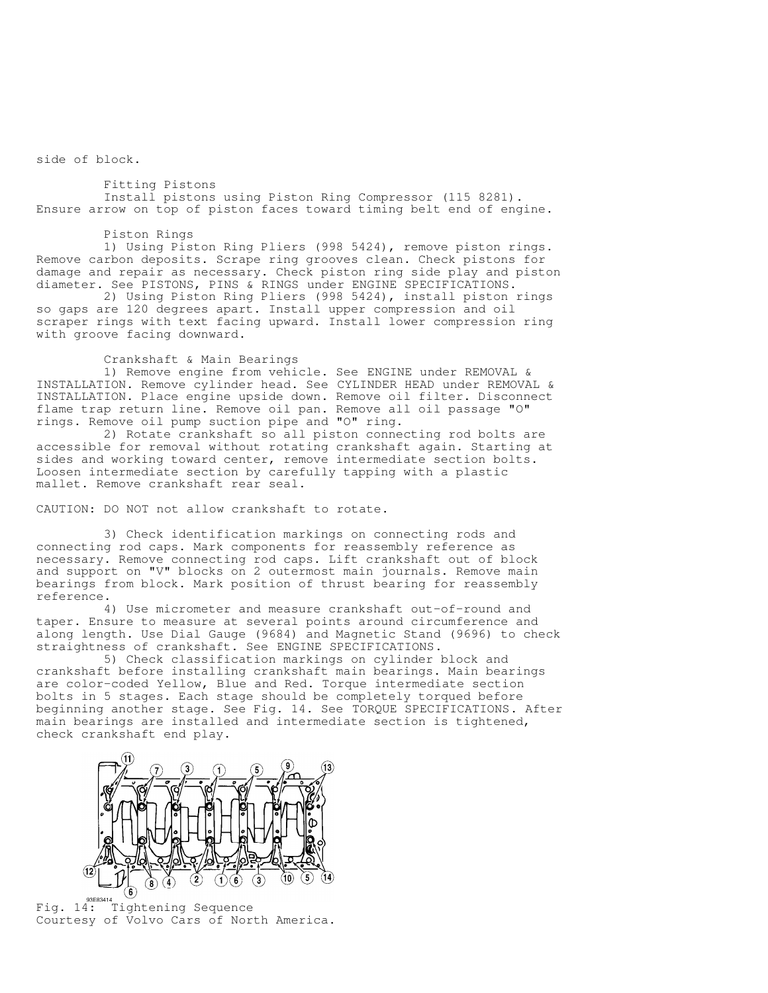side of block.

 Fitting Pistons Install pistons using Piston Ring Compressor (115 8281). Ensure arrow on top of piston faces toward timing belt end of engine.

#### Piston Rings

 1) Using Piston Ring Pliers (998 5424), remove piston rings. Remove carbon deposits. Scrape ring grooves clean. Check pistons for damage and repair as necessary. Check piston ring side play and piston diameter. See PISTONS, PINS & RINGS under ENGINE SPECIFICATIONS.

 2) Using Piston Ring Pliers (998 5424), install piston rings so gaps are 120 degrees apart. Install upper compression and oil scraper rings with text facing upward. Install lower compression ring with groove facing downward.

#### Crankshaft & Main Bearings

 1) Remove engine from vehicle. See ENGINE under REMOVAL & INSTALLATION. Remove cylinder head. See CYLINDER HEAD under REMOVAL & INSTALLATION. Place engine upside down. Remove oil filter. Disconnect flame trap return line. Remove oil pan. Remove all oil passage "O" rings. Remove oil pump suction pipe and "O" ring.

 2) Rotate crankshaft so all piston connecting rod bolts are accessible for removal without rotating crankshaft again. Starting at sides and working toward center, remove intermediate section bolts. Loosen intermediate section by carefully tapping with a plastic mallet. Remove crankshaft rear seal.

CAUTION: DO NOT not allow crankshaft to rotate.

 3) Check identification markings on connecting rods and connecting rod caps. Mark components for reassembly reference as necessary. Remove connecting rod caps. Lift crankshaft out of block and support on "V" blocks on 2 outermost main journals. Remove main bearings from block. Mark position of thrust bearing for reassembly reference.

 4) Use micrometer and measure crankshaft out-of-round and taper. Ensure to measure at several points around circumference and along length. Use Dial Gauge (9684) and Magnetic Stand (9696) to check straightness of crankshaft. See ENGINE SPECIFICATIONS.

 5) Check classification markings on cylinder block and crankshaft before installing crankshaft main bearings. Main bearings are color-coded Yellow, Blue and Red. Torque intermediate section bolts in 5 stages. Each stage should be completely torqued before beginning another stage. See Fig. 14. See TORQUE SPECIFICATIONS. After main bearings are installed and intermediate section is tightened, check crankshaft end play.

![](_page_16_Figure_12.jpeg)

Fig. 14: Tightening Sequence Courtesy of Volvo Cars of North America.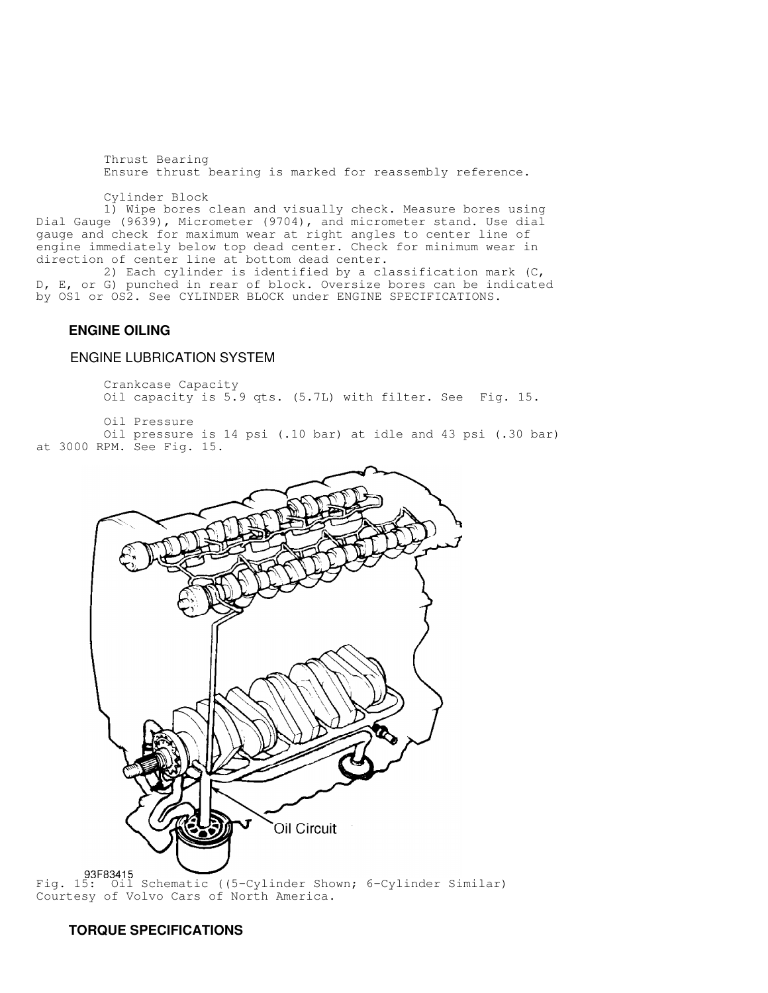Thrust Bearing Ensure thrust bearing is marked for reassembly reference.

Cylinder Block

 1) Wipe bores clean and visually check. Measure bores using Dial Gauge (9639), Micrometer (9704), and micrometer stand. Use dial gauge and check for maximum wear at right angles to center line of engine immediately below top dead center. Check for minimum wear in direction of center line at bottom dead center.

 2) Each cylinder is identified by a classification mark (C, D, E, or G) punched in rear of block. Oversize bores can be indicated by OS1 or OS2. See CYLINDER BLOCK under ENGINE SPECIFICATIONS.

## **ENGINE OILING**

## ENGINE LUBRICATION SYSTEM

 Crankcase Capacity Oil capacity is 5.9 qts. (5.7L) with filter. See Fig. 15.

 Oil Pressure Oil pressure is 14 psi (.10 bar) at idle and 43 psi (.30 bar) at 3000 RPM. See Fig. 15.

![](_page_17_Picture_8.jpeg)

Courtesy of Volvo Cars of North America.

## **TORQUE SPECIFICATIONS**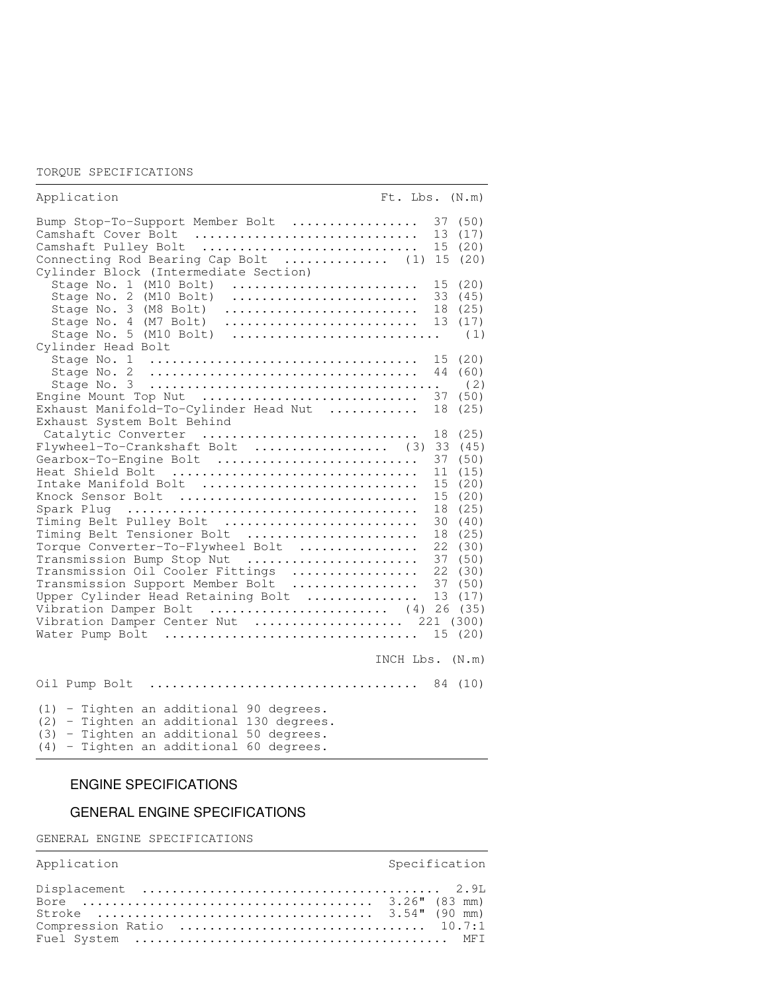#### TORQUE SPECIFICATIONS

| Application                                                                                                                                                                                                                                                                                                                                                                                                                                                                  | Ft. Lbs. (N.m)                                                                                                                                                                                                                   |
|------------------------------------------------------------------------------------------------------------------------------------------------------------------------------------------------------------------------------------------------------------------------------------------------------------------------------------------------------------------------------------------------------------------------------------------------------------------------------|----------------------------------------------------------------------------------------------------------------------------------------------------------------------------------------------------------------------------------|
| Bump Stop-To-Support Member Bolt<br>Camshaft Cover Bolt<br>Camshaft Pulley Bolt<br>Connecting Rod Bearing Cap Bolt  (1) 15<br>Cylinder Block (Intermediate Section)                                                                                                                                                                                                                                                                                                          | 37 (50)<br>13<br>(17)<br>15<br>(20)<br>(20)                                                                                                                                                                                      |
| Stage No. 1 (M10 Bolt)<br>Stage No. 2<br>(M10 Bolt)<br>Stage No. 3<br>(M8 Bolt)<br>Stage No. 4 (M7 Bolt)<br>Stage No. 5 (M10 Bolt)<br>Cylinder Head Bolt                                                                                                                                                                                                                                                                                                                     | 15 (20)<br>33<br>(45)<br>(25)<br>18<br>13<br>(17)<br>(1)                                                                                                                                                                         |
| Stage No. 1<br>Stage No. 2<br>Engine Mount Top Nut<br>Exhaust Manifold-To-Cylinder Head Nut<br>Exhaust System Bolt Behind                                                                                                                                                                                                                                                                                                                                                    | 15 (20)<br>44 (60)<br>(2)<br>37<br>(50)<br>(25)<br>18                                                                                                                                                                            |
| Catalytic Converter<br>Flywheel-To-Crankshaft Bolt  (3)<br>Gearbox-To-Engine Bolt<br>Heat Shield Bolt<br>Intake Manifold Bolt<br>Knock Sensor Bolt<br>Timing Belt Pulley Bolt<br>Timing Belt Tensioner Bolt<br>Torque Converter-To-Flywheel Bolt<br>Transmission Bump Stop Nut<br>Transmission Oil Cooler Fittings<br>Transmission Support Member Bolt<br>Upper Cylinder Head Retaining Bolt<br>Vibration Damper Bolt  (4)<br>Vibration Damper Center Nut<br>Water Pump Bolt | 18<br>(25)<br>33<br>(45)<br>37<br>(50)<br>11<br>(15)<br>15<br>(20)<br>15<br>(20)<br>18<br>(25)<br>30<br>(40)<br>18<br>(25)<br>22<br>(30)<br>37<br>(50)<br>22<br>(30)<br>37 (50)<br>13<br>(17)<br>26 (35)<br>221 (300)<br>15 (20) |
|                                                                                                                                                                                                                                                                                                                                                                                                                                                                              | INCH $Lbs.$ $(N.m)$                                                                                                                                                                                                              |
|                                                                                                                                                                                                                                                                                                                                                                                                                                                                              |                                                                                                                                                                                                                                  |
| (1) - Tighten an additional 90 degrees.<br>(2) - Tighten an additional 130 degrees.<br>- Tighten an additional 50 degrees.<br>(3)<br>- Tighten an additional 60 degrees.<br>(4)                                                                                                                                                                                                                                                                                              |                                                                                                                                                                                                                                  |

# ENGINE SPECIFICATIONS

# GENERAL ENGINE SPECIFICATIONS

GENERAL ENGINE SPECIFICATIONS

| Application | Specification |
|-------------|---------------|
|             |               |
|             |               |

,我们就会不会不会。""我们,我们不会不会不会,我们不会不会不会,我们不会不会不会不会。""我们,我们不会不会不会不会。""我们,我们不会不会不会不会。""我们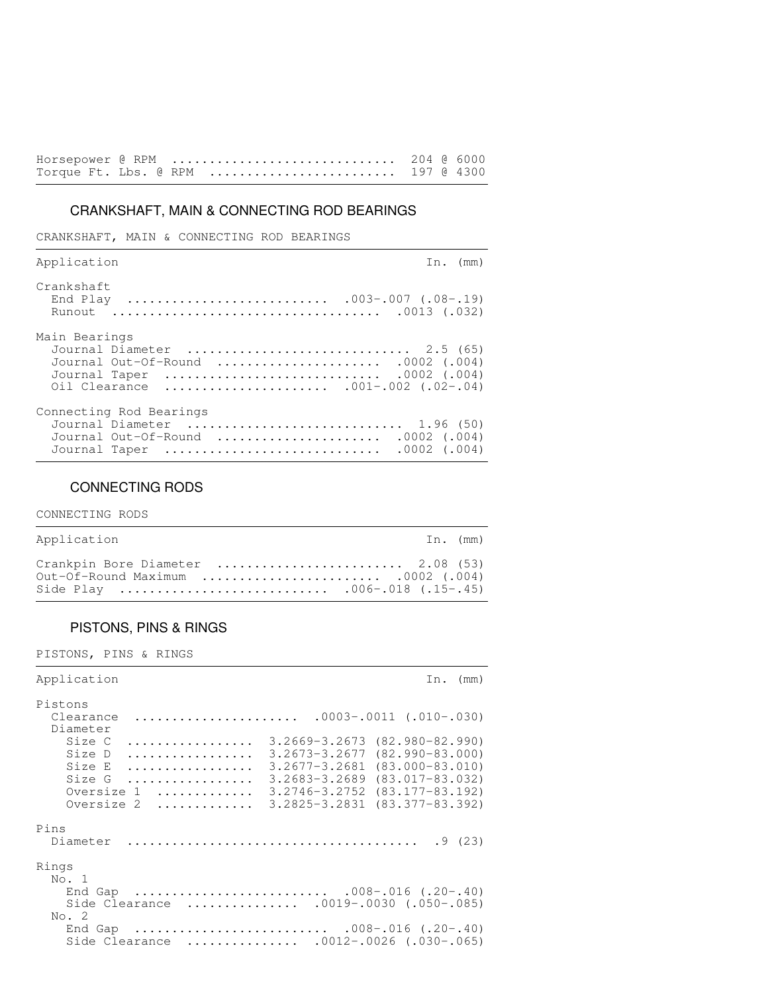|  | Horsepower @ RPM  204 @ 6000      |  |  |
|--|-----------------------------------|--|--|
|  | Torque Ft. Lbs. @ RPM  197 @ 4300 |  |  |

# CRANKSHAFT, MAIN & CONNECTING ROD BEARINGS

CRANKSHAFT, MAIN & CONNECTING ROD BEARINGS

| Application                                                                                                                              | In. $(mm)$       |
|------------------------------------------------------------------------------------------------------------------------------------------|------------------|
| Crankshaft                                                                                                                               |                  |
| Main Bearings<br>Journal Diameter  2.5 (65)<br>Journal Out-Of-Round  .0002 (.004)<br>Journal Taper<br>Oil Clearance  .001-.002 (.02-.04) |                  |
| Connecting Rod Bearings<br>Journal Diameter  1.96 (50)<br>Journal Out-Of-Round  .0002 (.004)<br>Journal Taper                            | $.0002$ $(.004)$ |

## CONNECTING RODS

CONNECTING RODS

| Application                                                             | In. (mm) |
|-------------------------------------------------------------------------|----------|
| Crankpin Bore Diameter  2.08 (53)<br>Out-Of-Round Maximum  .0002 (.004) |          |

,我们就会不会不会。""我们,我们不会不会不会,我们不会不会不会,我们不会不会不会不会。""我们,我们不会不会不会不会。""我们,我们不会不会不会不会。""我们

# PISTONS, PINS & RINGS

PISTONS, PINS & RINGS

| Application                                                                                                                                                                                                                  | (mm)<br>In.                                                                                                                              |
|------------------------------------------------------------------------------------------------------------------------------------------------------------------------------------------------------------------------------|------------------------------------------------------------------------------------------------------------------------------------------|
| Pistons<br>$.0003 - .0011$ (.010-.030)<br>Clearance<br>Diameter                                                                                                                                                              |                                                                                                                                          |
| Size C<br>$3.2669 - 3.2673$<br>.<br>Size D<br>$3.2673 - 3.2677$<br>.<br>Size E<br>$3.2677 - 3.2681$<br>.<br>$3.2683 - 3.2689$<br>Size G<br>.<br>$3.2746 - 3.2752$<br>Oversize 1<br>.<br>$3.2825 - 3.2831$<br>Oversize 2<br>. | $(82, 980 - 82, 990)$<br>$(82, 990 - 83, 000)$<br>$(83,000-83,010)$<br>$(83.017 - 83.032)$<br>$(83.177 - 83.192)$<br>$(83.377 - 83.392)$ |
| Pins<br>Diameter                                                                                                                                                                                                             | .9(23)                                                                                                                                   |
| Rings<br>No. 1                                                                                                                                                                                                               |                                                                                                                                          |
| $.008-.016$ $(.20-.40)$<br>End Gap<br>$.0019-.0030$ (.050-.085)<br>Side Clearance<br>No. 2                                                                                                                                   |                                                                                                                                          |
| 008-.016 (.20-.40)<br>End Gap<br>$.0012-.0026$ $(.030-.065)$<br>Side Clearance<br>.                                                                                                                                          |                                                                                                                                          |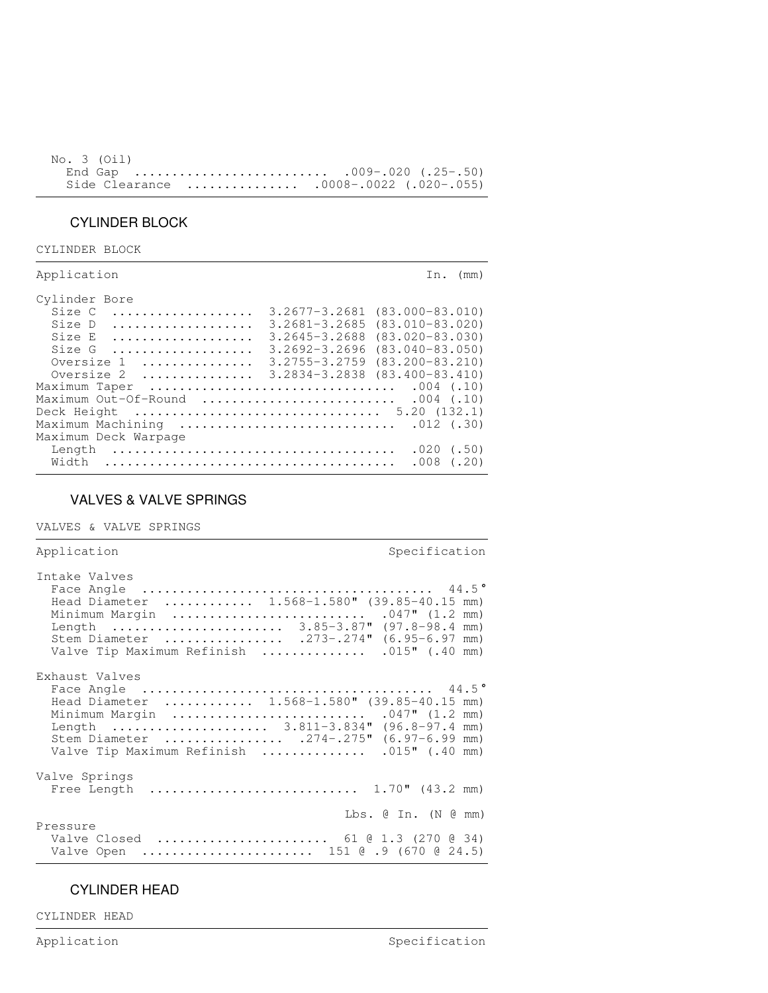| No. 3 (Oil) |                                         |  |
|-------------|-----------------------------------------|--|
|             | End Gap 009-.020 (.25-.50)              |  |
|             | Side Clearance  .0008-.0022 (.020-.055) |  |

,我们就会不会不会。""我们,我们不会不会不会,我们不会不会不会,我们不会不会不会不会。""我们,我们不会不会不会不会。""我们,我们不会不会不会不会。""我们

# CYLINDER BLOCK

CYLINDER BLOCK

| Application                                                                                                 | In. $(mm)$                                                                                                                                                                                                                                             |
|-------------------------------------------------------------------------------------------------------------|--------------------------------------------------------------------------------------------------------------------------------------------------------------------------------------------------------------------------------------------------------|
| Cylinder Bore<br>Size C<br>Size D<br>Size E<br>Size $G$<br>Oversize 1<br>Maximum Out-Of-Round  .004 $(.10)$ | $3,2677 - 3,2681$ $(83,000 - 83,010)$<br>$3.2681 - 3.2685$ $(83.010 - 83.020)$<br>$3.2645 - 3.2688$ $(83.020 - 83.030)$<br>$3.2692 - 3.2696$ $(83.040 - 83.050)$<br>$3.2755 - 3.2759$ $(83.200 - 83.210)$<br>Oversize 2  3.2834-3.2838 (83.400-83.410) |
| Maximum Deck Warpage                                                                                        |                                                                                                                                                                                                                                                        |
| Length<br>Width                                                                                             | $.020$ (.50)<br>$.008$ $(.20)$                                                                                                                                                                                                                         |

# VALVES & VALVE SPRINGS

VALVES & VALVE SPRINGS

| Application                                                                                                                                                                                                                         | Specification            |
|-------------------------------------------------------------------------------------------------------------------------------------------------------------------------------------------------------------------------------------|--------------------------|
| Intake Valves<br>Head Diameter  1.568-1.580" (39.85-40.15 mm)<br>Length  3.85-3.87" (97.8-98.4 mm)<br>Stem Diameter  .273-.274" (6.95-6.97 mm)<br>Valve Tip Maximum Refinish  .015" (.40 mm)                                        |                          |
| Exhaust Valves<br>Head Diameter $1.568-1.580$ " (39.85-40.15 mm)<br>Minimum Margin  .047" (1.2 mm)<br>Length  3.811-3.834" (96.8-97.4 mm)<br>Stem Diameter  .274-.275" (6.97-6.99 mm)<br>Valve Tip Maximum Refinish  .015" (.40 mm) |                          |
| Valve Springs                                                                                                                                                                                                                       |                          |
| Pressure<br>Valve Closed  61 @ 1.3 (270 @ 34)<br>Valve Open  151 @ .9 (670 @ 24.5)                                                                                                                                                  | $Lbs.$ (e In. (N $($ mm) |

,我们就会不会不会。""我们,我们不会不会不会,我们不会不会不会,我们不会不会不会不会。""我们,我们不会不会不会不会。""我们,我们不会不会不会不会。""我们

# CYLINDER HEAD

CYLINDER HEAD